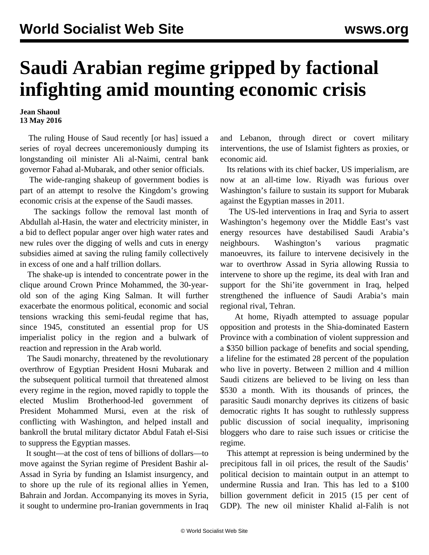## **Saudi Arabian regime gripped by factional infighting amid mounting economic crisis**

**Jean Shaoul 13 May 2016**

 The ruling House of Saud recently [or has] issued a series of royal decrees unceremoniously dumping its longstanding oil minister Ali al-Naimi, central bank governor Fahad al-Mubarak, and other senior officials.

 The wide-ranging shakeup of government bodies is part of an attempt to resolve the Kingdom's growing economic crisis at the expense of the Saudi masses.

 The sackings follow the removal last month of Abdullah al-Hasin, the water and electricity minister, in a bid to deflect popular anger over high water rates and new rules over the digging of wells and cuts in energy subsidies aimed at saving the ruling family collectively in excess of one and a half trillion dollars.

 The shake-up is intended to concentrate power in the clique around Crown Prince Mohammed, the 30-yearold son of the aging King Salman. It will further exacerbate the enormous political, economic and social tensions wracking this semi-feudal regime that has, since 1945, constituted an essential prop for US imperialist policy in the region and a bulwark of reaction and repression in the Arab world.

 The Saudi monarchy, threatened by the revolutionary overthrow of Egyptian President Hosni Mubarak and the subsequent political turmoil that threatened almost every regime in the region, moved rapidly to topple the elected Muslim Brotherhood-led government of President Mohammed Mursi, even at the risk of conflicting with Washington, and helped install and bankroll the brutal military dictator Abdul Fatah el-Sisi to suppress the Egyptian masses.

 It sought—at the cost of tens of billions of dollars—to move against the Syrian regime of President Bashir al-Assad in Syria by funding an Islamist insurgency, and to shore up the rule of its regional allies in Yemen, Bahrain and Jordan. Accompanying its moves in Syria, it sought to undermine pro-Iranian governments in Iraq

and Lebanon, through direct or covert military interventions, the use of Islamist fighters as proxies, or economic aid.

 Its relations with its chief backer, US imperialism, are now at an all-time low. Riyadh was furious over Washington's failure to sustain its support for Mubarak against the Egyptian masses in 2011.

 The US-led interventions in Iraq and Syria to assert Washington's hegemony over the Middle East's vast energy resources have destabilised Saudi Arabia's neighbours. Washington's various pragmatic manoeuvres, its failure to intervene decisively in the war to overthrow Assad in Syria allowing Russia to intervene to shore up the regime, its deal with Iran and support for the Shi'ite government in Iraq, helped strengthened the influence of Saudi Arabia's main regional rival, Tehran.

 At home, Riyadh attempted to assuage popular opposition and protests in the Shia-dominated Eastern Province with a combination of violent suppression and a \$350 billion package of benefits and social spending, a lifeline for the estimated 28 percent of the population who live in poverty. Between 2 million and 4 million Saudi citizens are believed to be living on less than \$530 a month. With its thousands of princes, the parasitic Saudi monarchy deprives its citizens of basic democratic rights It has sought to ruthlessly suppress public discussion of social inequality, imprisoning bloggers who dare to raise such issues or criticise the regime.

 This attempt at repression is being undermined by the precipitous fall in oil prices, the result of the Saudis' political decision to maintain output in an attempt to undermine Russia and Iran. This has led to a \$100 billion government deficit in 2015 (15 per cent of GDP). The new oil minister Khalid al-Falih is not